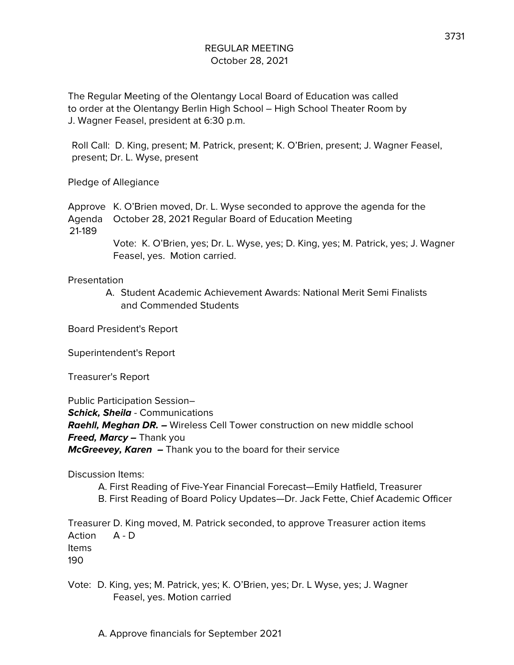The Regular Meeting of the Olentangy Local Board of Education was called to order at the Olentangy Berlin High School – High School Theater Room by J. Wagner Feasel, president at 6:30 p.m.

Roll Call: D. King, present; M. Patrick, present; K. O'Brien, present; J. Wagner Feasel, present; Dr. L. Wyse, present

Pledge of Allegiance

Approve K. O'Brien moved, Dr. L. Wyse seconded to approve the agenda for the Agenda October 28, 2021 Regular Board of Education Meeting 21-189

> Vote: K. O'Brien, yes; Dr. L. Wyse, yes; D. King, yes; M. Patrick, yes; J. Wagner Feasel, yes. Motion carried.

Presentation

A. Student Academic Achievement Awards: National Merit Semi Finalists and Commended Students

Board President's Report

Superintendent's Report

Treasurer's Report

Public Participation Session– **Schick, Sheila** - Communications **Raehll, Meghan DR. –** Wireless Cell Tower construction on new middle school **Freed, Marcy –** Thank you **McGreevey, Karen –** Thank you to the board for their service

Discussion Items:

A. First Reading of Five-Year Financial Forecast—Emily Hatfield, Treasurer B. First Reading of Board Policy Updates—Dr. Jack Fette, Chief Academic Officer

Treasurer D. King moved, M. Patrick seconded, to approve Treasurer action items Action A - D Items 190

Vote: D. King, yes; M. Patrick, yes; K. O'Brien, yes; Dr. L Wyse, yes; J. Wagner Feasel, yes. Motion carried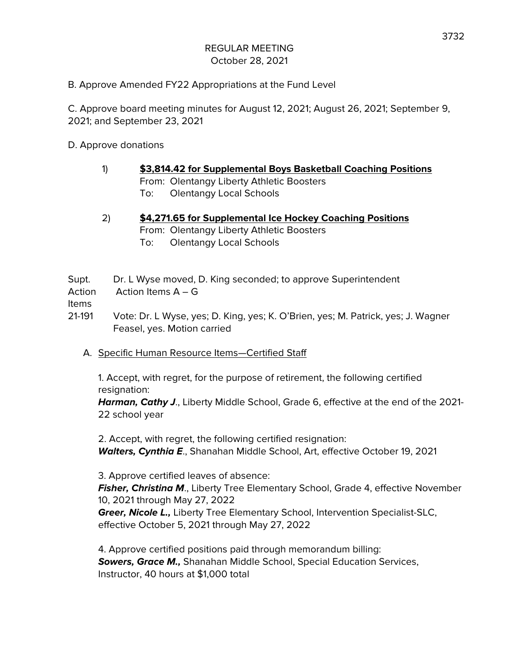B. Approve Amended FY22 Appropriations at the Fund Level

C. Approve board meeting minutes for August 12, 2021; August 26, 2021; September 9, 2021; and September 23, 2021

D. Approve donations

- 1) **\$3,814.42 for Supplemental Boys Basketball Coaching Positions** From: Olentangy Liberty Athletic Boosters To: Olentangy Local Schools
- 2) **\$4,271.65 for Supplemental Ice Hockey Coaching Positions** From: Olentangy Liberty Athletic Boosters To: Olentangy Local Schools

Supt. Dr. L Wyse moved, D. King seconded; to approve Superintendent Action Action Items A – G

Items

21-191 Vote: Dr. L Wyse, yes; D. King, yes; K. O'Brien, yes; M. Patrick, yes; J. Wagner Feasel, yes. Motion carried

A. Specific Human Resource Items—Certified Staff

1. Accept, with regret, for the purpose of retirement, the following certified resignation:

**Harman, Cathy J**., Liberty Middle School, Grade 6, effective at the end of the 2021- 22 school year

2. Accept, with regret, the following certified resignation: **Walters, Cynthia E**., Shanahan Middle School, Art, effective October 19, 2021

3. Approve certified leaves of absence: **Fisher, Christina M., Liberty Tree Elementary School, Grade 4, effective November** 10, 2021 through May 27, 2022 **Greer, Nicole L.,** Liberty Tree Elementary School, Intervention Specialist-SLC, effective October 5, 2021 through May 27, 2022

4. Approve certified positions paid through memorandum billing: **Sowers, Grace M.,** Shanahan Middle School, Special Education Services, Instructor, 40 hours at \$1,000 total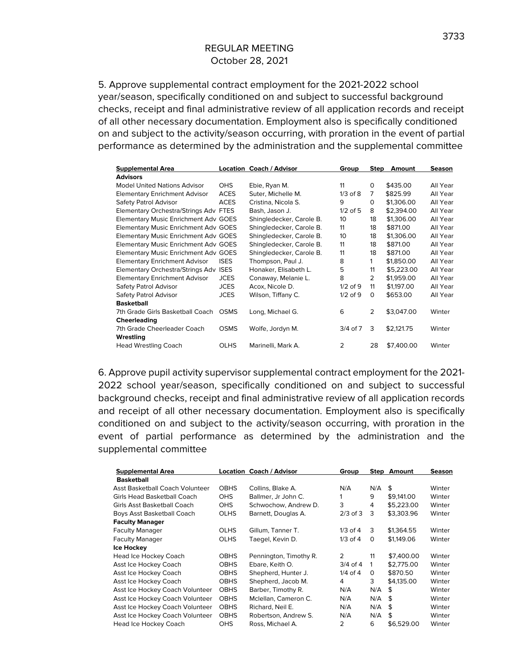5. Approve supplemental contract employment for the 2021-2022 school year/season, specifically conditioned on and subject to successful background checks, receipt and final administrative review of all application records and receipt of all other necessary documentation. Employment also is specifically conditioned on and subject to the activity/season occurring, with proration in the event of partial performance as determined by the administration and the supplemental committee

| <b>Supplemental Area</b>              |             | <b>Location Coach / Advisor</b> | Group        | <b>Step</b>    | Amount     | Season   |
|---------------------------------------|-------------|---------------------------------|--------------|----------------|------------|----------|
| <b>Advisors</b>                       |             |                                 |              |                |            |          |
| <b>Model United Nations Advisor</b>   | OHS         | Ebie, Ryan M.                   | 11           | 0              | \$435.00   | All Year |
| <b>Elementary Enrichment Advisor</b>  | <b>ACES</b> | Suter, Michelle M.              | $1/3$ of $8$ | 7              | \$825.99   | All Year |
| Safety Patrol Advisor                 | <b>ACES</b> | Cristina, Nicola S.             | 9            | 0              | \$1,306.00 | All Year |
| Elementary Orchestra/Strings Adv FTES |             | Bash, Jason J.                  | $1/2$ of 5   | 8              | \$2.394.00 | All Year |
| Elementary Music Enrichment Adv GOES  |             | Shingledecker, Carole B.        | 10           | 18             | \$1,306.00 | All Year |
| Elementary Music Enrichment Adv GOES  |             | Shingledecker, Carole B.        | 11           | 18             | \$871.00   | All Year |
| Elementary Music Enrichment Adv GOES  |             | Shingledecker, Carole B.        | 10           | 18             | \$1,306.00 | All Year |
| Elementary Music Enrichment Adv GOES  |             | Shingledecker, Carole B.        | 11           | 18             | \$871.00   | All Year |
| Elementary Music Enrichment Adv GOES  |             | Shingledecker, Carole B.        | 11           | 18             | \$871.00   | All Year |
| <b>Elementary Enrichment Advisor</b>  | <b>ISES</b> | Thompson, Paul J.               | 8            | 1              | \$1,850.00 | All Year |
| Elementary Orchestra/Strings Adv ISES |             | Honaker, Elisabeth L.           | 5            | 11             | \$5,223.00 | All Year |
| <b>Elementary Enrichment Advisor</b>  | <b>JCES</b> | Conaway, Melanie L.             | 8            | $\overline{2}$ | \$1,959.00 | All Year |
| Safety Patrol Advisor                 | <b>JCES</b> | Acox, Nicole D.                 | $1/2$ of 9   | 11             | \$1,197.00 | All Year |
| Safety Patrol Advisor                 | <b>JCES</b> | Wilson, Tiffany C.              | $1/2$ of 9   | 0              | \$653.00   | All Year |
| <b>Basketball</b>                     |             |                                 |              |                |            |          |
| 7th Grade Girls Basketball Coach      | <b>OSMS</b> | Long, Michael G.                | 6            | $\overline{2}$ | \$3,047.00 | Winter   |
| Cheerleading                          |             |                                 |              |                |            |          |
| 7th Grade Cheerleader Coach           | <b>OSMS</b> | Wolfe, Jordyn M.                | $3/4$ of $7$ | 3              | \$2,121.75 | Winter   |
| Wrestling                             |             |                                 |              |                |            |          |
| <b>Head Wrestling Coach</b>           | <b>OLHS</b> | Marinelli, Mark A.              | 2            | 28             | \$7,400.00 | Winter   |

6. Approve pupil activity supervisor supplemental contract employment for the 2021- 2022 school year/season, specifically conditioned on and subject to successful background checks, receipt and final administrative review of all application records and receipt of all other necessary documentation. Employment also is specifically conditioned on and subject to the activity/season occurring, with proration in the event of partial performance as determined by the administration and the supplemental committee

| <b>Supplemental Area</b>        |             | <b>Location Coach / Advisor</b> | Group          |     | <b>Step Amount</b> | Season |
|---------------------------------|-------------|---------------------------------|----------------|-----|--------------------|--------|
| <b>Basketball</b>               |             |                                 |                |     |                    |        |
| Asst Basketball Coach Volunteer | <b>OBHS</b> | Collins, Blake A.               | N/A            | N/A | \$                 | Winter |
| Girls Head Basketball Coach     | <b>OHS</b>  | Ballmer, Jr John C.             |                | 9   | \$9,141.00         | Winter |
| Girls Asst Basketball Coach     | <b>OHS</b>  | Schwochow, Andrew D.            | 3              | 4   | \$5.223.00         | Winter |
| Boys Asst Basketball Coach      | <b>OLHS</b> | Barnett, Douglas A.             | $2/3$ of $3$   | 3   | \$3,303.96         | Winter |
| <b>Faculty Manager</b>          |             |                                 |                |     |                    |        |
| <b>Faculty Manager</b>          | <b>OLHS</b> | Gillum, Tanner T.               | $1/3$ of $4$   | 3   | \$1,364.55         | Winter |
| <b>Faculty Manager</b>          | <b>OLHS</b> | Taegel, Kevin D.                | $1/3$ of 4     | 0   | \$1,149.06         | Winter |
| Ice Hockey                      |             |                                 |                |     |                    |        |
| <b>Head Ice Hockey Coach</b>    | <b>OBHS</b> | Pennington, Timothy R.          | $\overline{2}$ | 11  | \$7,400.00         | Winter |
| Asst Ice Hockey Coach           | <b>OBHS</b> | Ebare, Keith O.                 | $3/4$ of 4     | 1   | \$2.775.00         | Winter |
| Asst Ice Hockey Coach           | <b>OBHS</b> | Shepherd, Hunter J.             | $1/4$ of $4$   | 0   | \$870.50           | Winter |
| Asst Ice Hockey Coach           | <b>OBHS</b> | Shepherd, Jacob M.              | 4              | 3   | \$4,135.00         | Winter |
| Asst Ice Hockey Coach Volunteer | <b>OBHS</b> | Barber, Timothy R.              | N/A            | N/A | \$                 | Winter |
| Asst Ice Hockey Coach Volunteer | <b>OBHS</b> | Mclellan, Cameron C.            | N/A            | N/A | \$                 | Winter |
| Asst Ice Hockey Coach Volunteer | <b>OBHS</b> | Richard, Neil E.                | N/A            | N/A | \$                 | Winter |
| Asst Ice Hockey Coach Volunteer | <b>OBHS</b> | Robertson, Andrew S.            | N/A            | N/A | \$                 | Winter |
| Head Ice Hockey Coach           | <b>OHS</b>  | Ross, Michael A.                | 2              | 6   | \$6,529.00         | Winter |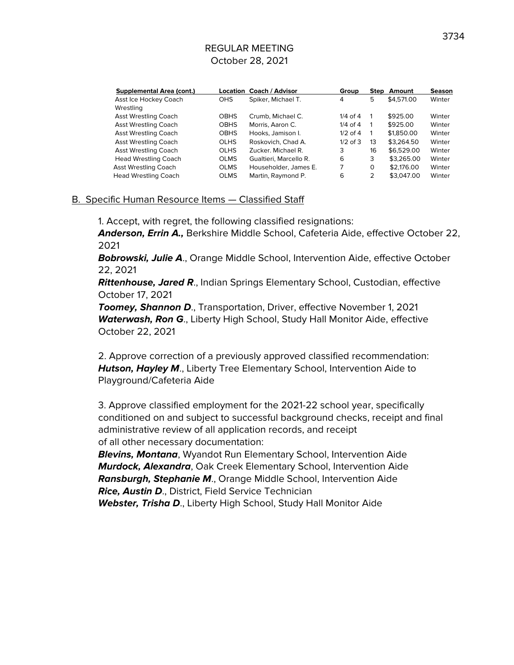| <b>Supplemental Area (cont.)</b> |             | Location Coach / Advisor | Group        | Step          | Amount     | <b>Season</b> |
|----------------------------------|-------------|--------------------------|--------------|---------------|------------|---------------|
| Asst Ice Hockey Coach            | <b>OHS</b>  | Spiker, Michael T.       | 4            | 5             | \$4,571,00 | Winter        |
| Wrestling                        |             |                          |              |               |            |               |
| <b>Asst Wrestling Coach</b>      | <b>OBHS</b> | Crumb, Michael C.        | $1/4$ of $4$ |               | \$925.00   | Winter        |
| <b>Asst Wrestling Coach</b>      | <b>OBHS</b> | Morris, Aaron C.         | $1/4$ of $4$ |               | \$925.00   | Winter        |
| Asst Wrestling Coach             | <b>OBHS</b> | Hooks, Jamison I.        | $1/2$ of 4   |               | \$1,850.00 | Winter        |
| Asst Wrestling Coach             | <b>OLHS</b> | Roskovich, Chad A.       | $1/2$ of $3$ | 13            | \$3.264.50 | Winter        |
| Asst Wrestling Coach             | <b>OLHS</b> | Zucker, Michael R.       | 3            | 16            | \$6,529.00 | Winter        |
| <b>Head Wrestling Coach</b>      | <b>OLMS</b> | Gualtieri, Marcello R.   | 6            | 3             | \$3,265,00 | Winter        |
| Asst Wrestling Coach             | <b>OLMS</b> | Householder, James E.    | 7            | 0             | \$2,176,00 | Winter        |
| <b>Head Wrestling Coach</b>      | <b>OLMS</b> | Martin, Raymond P.       | 6            | $\mathcal{P}$ | \$3,047.00 | Winter        |

#### B. Specific Human Resource Items — Classified Staff

1. Accept, with regret, the following classified resignations:

**Anderson, Errin A.,** Berkshire Middle School, Cafeteria Aide, effective October 22, 2021

**Bobrowski, Julie A**., Orange Middle School, Intervention Aide, effective October 22, 2021

**Rittenhouse, Jared R**., Indian Springs Elementary School, Custodian, effective October 17, 2021

**Toomey, Shannon D**., Transportation, Driver, effective November 1, 2021 **Waterwash, Ron G**., Liberty High School, Study Hall Monitor Aide, effective October 22, 2021

2. Approve correction of a previously approved classified recommendation: **Hutson, Hayley M**., Liberty Tree Elementary School, Intervention Aide to Playground/Cafeteria Aide

3. Approve classified employment for the 2021-22 school year, specifically conditioned on and subject to successful background checks, receipt and final administrative review of all application records, and receipt of all other necessary documentation:

**Blevins, Montana**, Wyandot Run Elementary School, Intervention Aide **Murdock, Alexandra**, Oak Creek Elementary School, Intervention Aide **Ransburgh, Stephanie M**., Orange Middle School, Intervention Aide **Rice, Austin D**., District, Field Service Technician Webster, Trisha D., Liberty High School, Study Hall Monitor Aide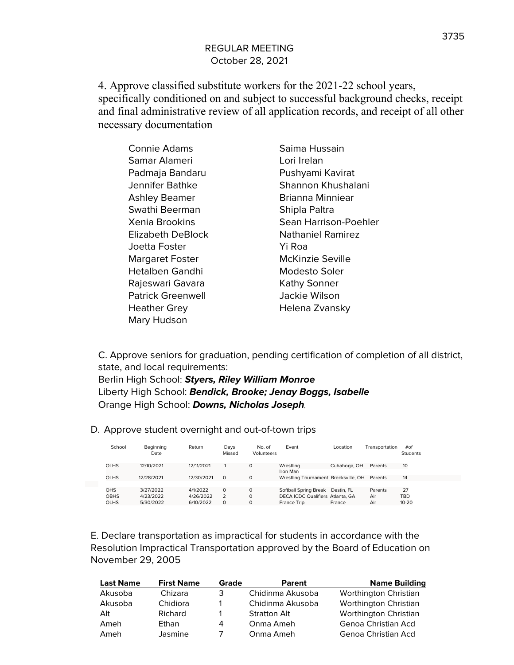4. Approve classified substitute workers for the 2021-22 school years, specifically conditioned on and subject to successful background checks, receipt and final administrative review of all application records, and receipt of all other necessary documentation

| <b>Connie Adams</b>      | Saima Hussain            |
|--------------------------|--------------------------|
| Samar Alameri            | Lori Irelan              |
| Padmaja Bandaru          | Pushyami Kavirat         |
| Jennifer Bathke          | Shannon Khushalani       |
| <b>Ashley Beamer</b>     | Brianna Minniear         |
| Swathi Beerman           | Shipla Paltra            |
| Xenia Brookins           | Sean Harrison-Poehler    |
| Elizabeth DeBlock        | <b>Nathaniel Ramirez</b> |
| Joetta Foster            | Yi Roa                   |
| <b>Margaret Foster</b>   | McKinzie Seville         |
| <b>Hetalben Gandhi</b>   | Modesto Soler            |
| Rajeswari Gavara         | <b>Kathy Sonner</b>      |
| <b>Patrick Greenwell</b> | Jackie Wilson            |
| <b>Heather Grey</b>      | Helena Zvansky           |
| Mary Hudson              |                          |

C. Approve seniors for graduation, pending certification of completion of all district, state, and local requirements:

Berlin High School: **Styers, Riley William Monroe** Liberty High School: **Bendick, Brooke; Jenay Boggs, Isabelle** Orange High School: **Downs, Nicholas Joseph**

D. Approve student overnight and out-of-town trips

| School                             | Beginning<br>Date                   | Return                             | Days<br>Missed       | No. of<br>Volunteers             | Event                                                                    | Location             | Transportation        | #of<br>Students               |
|------------------------------------|-------------------------------------|------------------------------------|----------------------|----------------------------------|--------------------------------------------------------------------------|----------------------|-----------------------|-------------------------------|
| <b>OLHS</b>                        | 12/10/2021                          | 12/11/2021                         |                      | $\Omega$                         | Wrestling<br>Iron Man                                                    | Cuhahoga, OH         | Parents               | 10                            |
| <b>OLHS</b>                        | 12/28/2021                          | 12/30/2021                         | $\Omega$             | 0                                | Wrestling Tournament Brecksville, OH                                     |                      | Parents               | 14                            |
| OHS.<br><b>OBHS</b><br><b>OLHS</b> | 3/27/2022<br>4/23/2022<br>5/30/2022 | 4/1/2022<br>4/26/2022<br>6/10/2022 | $\Omega$<br>$\Omega$ | $\Omega$<br>$\Omega$<br>$\Omega$ | Softball Spring Break<br>DECA ICDC Qualifiers Atlanta, GA<br>France Trip | Destin, FL<br>France | Parents<br>Air<br>Air | 27<br><b>TBD</b><br>$10 - 20$ |

E. Declare transportation as impractical for students in accordance with the Resolution Impractical Transportation approved by the Board of Education on November 29, 2005

| <b>Last Name</b> | <b>First Name</b> | Grade | Parent              | <b>Name Building</b>  |
|------------------|-------------------|-------|---------------------|-----------------------|
| Akusoba          | Chizara           | 3     | Chidinma Akusoba    | Worthington Christian |
| Akusoba          | Chidiora          |       | Chidinma Akusoba    | Worthington Christian |
| Alt              | Richard           |       | <b>Stratton Alt</b> | Worthington Christian |
| Ameh             | Ethan             | 4     | Onma Ameh           | Genoa Christian Acd   |
| Ameh             | Jasmine           |       | Onma Ameh           | Genoa Christian Acd   |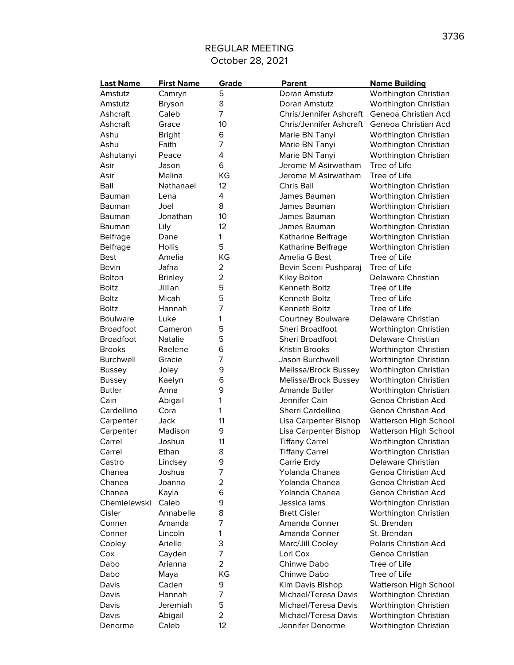| <b>Last Name</b> | <b>First Name</b> | Grade          | Parent                         | <b>Name Building</b>         |
|------------------|-------------------|----------------|--------------------------------|------------------------------|
| Amstutz          | Camryn            | 5              | Doran Amstutz                  | Worthington Christian        |
| Amstutz          | <b>Bryson</b>     | 8              | Doran Amstutz                  | Worthington Christian        |
| Ashcraft         | Caleb             | 7              | <b>Chris/Jennifer Ashcraft</b> | Geneoa Christian Acd         |
| Ashcraft         | Grace             | 10             | <b>Chris/Jennifer Ashcraft</b> | Geneoa Christian Acd         |
| Ashu             | <b>Bright</b>     | 6              | Marie BN Tanyi                 | Worthington Christian        |
| Ashu             | Faith             | 7              | Marie BN Tanyi                 | Worthington Christian        |
| Ashutanyi        | Peace             | 4              | Marie BN Tanyi                 | Worthington Christian        |
| Asir             | Jason             | 6              | Jerome M Asirwatham            | Tree of Life                 |
| Asir             | Melina            | KG             | Jerome M Asirwatham            | Tree of Life                 |
| Ball             | Nathanael         | 12             | Chris Ball                     | Worthington Christian        |
| Bauman           | Lena              | 4              | James Bauman                   | Worthington Christian        |
| Bauman           | Joel              | 8              | James Bauman                   | Worthington Christian        |
| Bauman           | Jonathan          | 10             | James Bauman                   | Worthington Christian        |
| Bauman           | Lily              | 12             | James Bauman                   | Worthington Christian        |
| <b>Belfrage</b>  | Dane              | 1              | Katharine Belfrage             | Worthington Christian        |
| <b>Belfrage</b>  | Hollis            | 5              | Katharine Belfrage             | Worthington Christian        |
| <b>Best</b>      | Amelia            | КG             | Amelia G Best                  | Tree of Life                 |
| Bevin            | Jafna             | $\overline{a}$ | Bevin Seeni Pushparaj          | Tree of Life                 |
| Bolton           | <b>Brinley</b>    | $\overline{a}$ | Kiley Bolton                   | Delaware Christian           |
| Boltz            | Jillian           | 5              | Kenneth Boltz                  | Tree of Life                 |
| <b>Boltz</b>     | Micah             | 5              | <b>Kenneth Boltz</b>           | Tree of Life                 |
| <b>Boltz</b>     | Hannah            | 7              | Kenneth Boltz                  | Tree of Life                 |
| <b>Boulware</b>  | Luke              | 1              | <b>Courtney Boulware</b>       | Delaware Christian           |
| <b>Broadfoot</b> | Cameron           | 5              | <b>Sheri Broadfoot</b>         | Worthington Christian        |
| <b>Broadfoot</b> | Natalie           | 5              | Sheri Broadfoot                | Delaware Christian           |
| <b>Brooks</b>    | Raelene           | 6              | <b>Kristin Brooks</b>          | Worthington Christian        |
| Burchwell        | Gracie            | 7              | Jason Burchwell                | Worthington Christian        |
|                  |                   | 9              | Melissa/Brock Bussey           |                              |
| Bussey           | Joley             | 6              |                                | Worthington Christian        |
| <b>Bussey</b>    | Kaelyn            | 9              | Melissa/Brock Bussey           | Worthington Christian        |
| <b>Butler</b>    | Anna              |                | Amanda Butler                  | Worthington Christian        |
| Cain             | Abigail           | 1<br>1         | Jennifer Cain                  | Genoa Christian Acd          |
| Cardellino       | Cora              |                | Sherri Cardellino              | Genoa Christian Acd          |
| Carpenter        | Jack              | 11             | Lisa Carpenter Bishop          | <b>Watterson High School</b> |
| Carpenter        | Madison           | 9              | Lisa Carpenter Bishop          | <b>Watterson High School</b> |
| Carrel           | Joshua            | 11             | <b>Tiffany Carrel</b>          | Worthington Christian        |
| Carrel           | Ethan             | 8              | <b>Tiffany Carrel</b>          | Worthington Christian        |
| Castro           | Lindsey           | 9              | Carrie Erdy                    | Delaware Christian           |
| Chanea           | Joshua            | 7              | Yolanda Chanea                 | Genoa Christian Acd          |
| Chanea           | Joanna            | $\overline{a}$ | Yolanda Chanea                 | Genoa Christian Acd          |
| Chanea           | Kayla             | 6              | Yolanda Chanea                 | Genoa Christian Acd          |
| Chemielewski     | Caleb             | 9              | Jessica lams                   | Worthington Christian        |
| Cisler           | Annabelle         | 8              | <b>Brett Cisler</b>            | Worthington Christian        |
| Conner           | Amanda            | 7              | Amanda Conner                  | St. Brendan                  |
| Conner           | Lincoln           | 1              | Amanda Conner                  | St. Brendan                  |
| Cooley           | Arielle           | 3              | Marc/Jill Cooley               | Polaris Christian Acd        |
| Cox              | Cayden            | 7              | Lori Cox                       | Genoa Christian              |
| Dabo             | Arianna           | $\overline{a}$ | Chinwe Dabo                    | Tree of Life                 |
| Dabo             | Maya              | ΚG             | Chinwe Dabo                    | Tree of Life                 |
| Davis            | Caden             | 9              | Kim Davis Bishop               | <b>Watterson High School</b> |
| Davis            | Hannah            | 7              | Michael/Teresa Davis           | Worthington Christian        |
| Davis            | Jeremiah          | 5              | Michael/Teresa Davis           | Worthington Christian        |
| Davis            | Abigail           | 2              | Michael/Teresa Davis           | Worthington Christian        |
| Denorme          | Caleb             | 12             | Jennifer Denorme               | Worthington Christian        |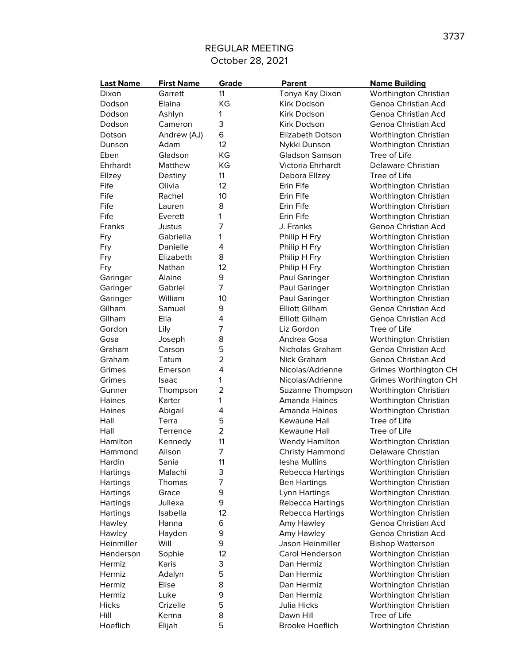| <b>Last Name</b> | <b>First Name</b> | Grade          | <b>Parent</b>                  | <b>Name Building</b>                         |
|------------------|-------------------|----------------|--------------------------------|----------------------------------------------|
| Dixon            | Garrett           | 11             | Tonya Kay Dixon                | Worthington Christian                        |
| Dodson           | Elaina            | KG             | Kirk Dodson                    | Genoa Christian Acd                          |
| Dodson           | Ashlyn            | 1              | Kirk Dodson                    | Genoa Christian Acd                          |
| Dodson           | Cameron           | 3              | Kirk Dodson                    | Genoa Christian Acd                          |
| Dotson           | Andrew (AJ)       | 6              | <b>Elizabeth Dotson</b>        | Worthington Christian                        |
| Dunson           | Adam              | 12             | Nykki Dunson                   | Worthington Christian                        |
| Eben             | Gladson           | KG             | <b>Gladson Samson</b>          | Tree of Life                                 |
| Ehrhardt         | Matthew           | KG             | Victoria Ehrhardt              | Delaware Christian                           |
| Ellzey           | Destiny           | 11             | Debora Ellzey                  | Tree of Life                                 |
| Fife             | Olivia            | 12             | Erin Fife                      | Worthington Christian                        |
| Fife             | Rachel            | 10             | Erin Fife                      | Worthington Christian                        |
| Fife             | Lauren            | 8              | Erin Fife                      | Worthington Christian                        |
| Fife             | Everett           | 1              | Erin Fife                      | Worthington Christian                        |
| Franks           | Justus            | 7              | J. Franks                      | Genoa Christian Acd                          |
| Fry              | Gabriella         | 1              | Philip H Fry                   | Worthington Christian                        |
| Fry              | Danielle          | 4              | Philip H Fry                   | Worthington Christian                        |
| Fry              | Elizabeth         | 8              | Philip H Fry                   | Worthington Christian                        |
| Fry              | Nathan            | 12             | Philip H Fry                   | Worthington Christian                        |
| Garinger         | Alaine            | 9              | Paul Garinger                  | Worthington Christian                        |
| Garinger         | Gabriel           | 7              | Paul Garinger                  | Worthington Christian                        |
| Garinger         | William           | 10             | Paul Garinger                  | Worthington Christian                        |
| Gilham           | Samuel            | 9              | <b>Elliott Gilham</b>          | Genoa Christian Acd                          |
| Gilham           | Ella              | 4              | <b>Elliott Gilham</b>          | Genoa Christian Acd                          |
|                  |                   | 7              | Liz Gordon                     | Tree of Life                                 |
| Gordon           | Lily              | 8              |                                |                                              |
| Gosa<br>Graham   | Joseph            | 5              | Andrea Gosa<br>Nicholas Graham | Worthington Christian<br>Genoa Christian Acd |
|                  | Carson            |                |                                |                                              |
| Graham           | Tatum             | $\overline{2}$ | Nick Graham                    | Genoa Christian Acd                          |
| Grimes           | Emerson           | 4              | Nicolas/Adrienne               | Grimes Worthington CH                        |
| Grimes           | Isaac             | 1              | Nicolas/Adrienne               | Grimes Worthington CH                        |
| Gunner           | Thompson          | 2              | Suzanne Thompson               | Worthington Christian                        |
| Haines           | Karter            | 1              | <b>Amanda Haines</b>           | Worthington Christian                        |
| Haines           | Abigail           | 4              | <b>Amanda Haines</b>           | Worthington Christian                        |
| Hall             | Terra             | 5              | Kewaune Hall                   | Tree of Life                                 |
| Hall             | Terrence          | $\overline{2}$ | Kewaune Hall                   | Tree of Life                                 |
| Hamilton         | Kennedy           | 11             | <b>Wendy Hamilton</b>          | Worthington Christian                        |
| Hammond          | Alison            | 7              | <b>Christy Hammond</b>         | Delaware Christian                           |
| Hardin           | Sania             | 11             | lesha Mullins                  | Worthington Christian                        |
| Hartings         | Malachi           | 3              | Rebecca Hartings               | Worthington Christian                        |
| Hartings         | Thomas            | 7              | <b>Ben Hartings</b>            | Worthington Christian                        |
| Hartings         | Grace             | 9              | Lynn Hartings                  | Worthington Christian                        |
| Hartings         | Jullexa           | 9              | Rebecca Hartings               | Worthington Christian                        |
| <b>Hartings</b>  | Isabella          | 12             | Rebecca Hartings               | Worthington Christian                        |
| Hawley           | Hanna             | 6              | Amy Hawley                     | Genoa Christian Acd                          |
| Hawley           | Hayden            | 9              | Amy Hawley                     | Genoa Christian Acd                          |
| Heinmiller       | Will              | 9              | Jason Heinmiller               | <b>Bishop Watterson</b>                      |
| Henderson        | Sophie            | 12             | Carol Henderson                | Worthington Christian                        |
| Hermiz           | Karis             | 3              | Dan Hermiz                     | Worthington Christian                        |
| Hermiz           | Adalyn            | 5              | Dan Hermiz                     | Worthington Christian                        |
| Hermiz           | Elise             | 8              | Dan Hermiz                     | Worthington Christian                        |
| Hermiz           | Luke              | 9              | Dan Hermiz                     | Worthington Christian                        |
| <b>Hicks</b>     | Crizelle          | 5              | Julia Hicks                    | Worthington Christian                        |
| Hill             | Kenna             | 8              | Dawn Hill                      | Tree of Life                                 |
| Hoeflich         | Elijah            | 5              | Brooke Hoeflich                | Worthington Christian                        |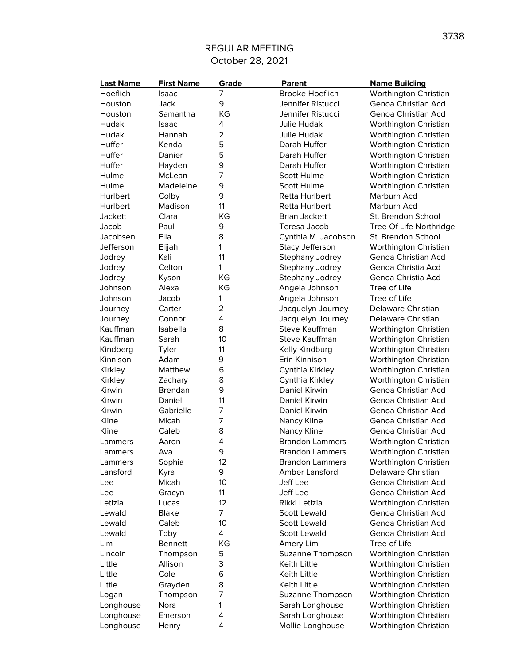| <b>Last Name</b> | <b>First Name</b> | Grade          | Parent                 | <b>Name Building</b>    |
|------------------|-------------------|----------------|------------------------|-------------------------|
| Hoeflich         | Isaac             | 7              | <b>Brooke Hoeflich</b> | Worthington Christian   |
| Houston          | Jack              | 9              | Jennifer Ristucci      | Genoa Christian Acd     |
| Houston          | Samantha          | KG             | Jennifer Ristucci      | Genoa Christian Acd     |
| Hudak            | Isaac             | 4              | Julie Hudak            | Worthington Christian   |
| Hudak            | Hannah            | $\overline{2}$ | <b>Julie Hudak</b>     | Worthington Christian   |
| Huffer           | Kendal            | 5              | Darah Huffer           | Worthington Christian   |
| Huffer           | Danier            | 5              | Darah Huffer           | Worthington Christian   |
| Huffer           | Hayden            | 9              | Darah Huffer           | Worthington Christian   |
| Hulme            | McLean            | 7              | Scott Hulme            | Worthington Christian   |
| Hulme            | Madeleine         | 9              | <b>Scott Hulme</b>     | Worthington Christian   |
| Hurlbert         | Colby             | 9              | Retta Hurlbert         | Marburn Acd             |
| Hurlbert         | Madison           | 11             | Retta Hurlbert         | Marburn Acd             |
| <b>Jackett</b>   | Clara             | KG             | <b>Brian Jackett</b>   | St. Brendon School      |
| Jacob            | Paul              | 9              | Teresa Jacob           | Tree Of Life Northridge |
| Jacobsen         | Ella              | 8              | Cynthia M. Jacobson    | St. Brendon School      |
| Jefferson        | Elijah            | 1              | Stacy Jefferson        | Worthington Christian   |
| Jodrey           | Kali              | 11             | Stephany Jodrey        | Genoa Christian Acd     |
| Jodrey           | Celton            | 1              | Stephany Jodrey        | Genoa Christia Acd      |
| Jodrey           | Kyson             | КG             | Stephany Jodrey        | Genoa Christia Acd      |
| Johnson          | Alexa             | KG             | Angela Johnson         | Tree of Life            |
| Johnson          | Jacob             | 1              | Angela Johnson         | Tree of Life            |
| Journey          | Carter            | $\overline{2}$ | Jacquelyn Journey      | Delaware Christian      |
| Journey          | Connor            | 4              | Jacquelyn Journey      | Delaware Christian      |
| Kauffman         | Isabella          | 8              | Steve Kauffman         | Worthington Christian   |
| Kauffman         | Sarah             | 10             | Steve Kauffman         | Worthington Christian   |
| Kindberg         | Tyler             | 11             | Kelly Kindburg         | Worthington Christian   |
| Kinnison         | Adam              | 9              | Erin Kinnison          | Worthington Christian   |
| Kirkley          | Matthew           | 6              | Cynthia Kirkley        | Worthington Christian   |
| Kirkley          | Zachary           | 8              | Cynthia Kirkley        | Worthington Christian   |
| Kirwin           | <b>Brendan</b>    | 9              | Daniel Kirwin          | Genoa Christian Acd     |
| Kirwin           | Daniel            | 11             | <b>Daniel Kirwin</b>   | Genoa Christian Acd     |
| Kirwin           | Gabrielle         | 7              | Daniel Kirwin          | Genoa Christian Acd     |
| Kline            | Micah             | 7              | Nancy Kline            | Genoa Christian Acd     |
| Kline            | Caleb             | 8              | Nancy Kline            | Genoa Christian Acd     |
| Lammers          | Aaron             | 4              | <b>Brandon Lammers</b> | Worthington Christian   |
| Lammers          | Ava               | 9              | <b>Brandon Lammers</b> | Worthington Christian   |
| Lammers          | Sophia            | 12             | <b>Brandon Lammers</b> | Worthington Christian   |
| Lansford         | Kyra              | 9              | Amber Lansford         | Delaware Christian      |
| Lee              | Micah             | 10             | Jeff Lee               | Genoa Christian Acd     |
| Lee              | Gracyn            | 11             | Jeff Lee               | Genoa Christian Acd     |
| Letizia          | Lucas             | 12             | Rikki Letizia          | Worthington Christian   |
| Lewald           | <b>Blake</b>      | 7              | <b>Scott Lewald</b>    | Genoa Christian Acd     |
| Lewald           | Caleb             | 10             | <b>Scott Lewald</b>    | Genoa Christian Acd     |
| Lewald           | Toby              | 4              | <b>Scott Lewald</b>    | Genoa Christian Acd     |
| Lim              | <b>Bennett</b>    | ΚG             | Amery Lim              | Tree of Life            |
| Lincoln          | Thompson          | 5              | Suzanne Thompson       | Worthington Christian   |
| Little           | Allison           | 3              | Keith Little           | Worthington Christian   |
| Little           | Cole              | 6              | Keith Little           | Worthington Christian   |
| Little           | Grayden           | 8              | Keith Little           | Worthington Christian   |
| Logan            | Thompson          | 7              | Suzanne Thompson       | Worthington Christian   |
| Longhouse        | Nora              | 1              | Sarah Longhouse        | Worthington Christian   |
| Longhouse        | Emerson           | 4              | Sarah Longhouse        | Worthington Christian   |
| Longhouse        | Henry             | 4              | Mollie Longhouse       | Worthington Christian   |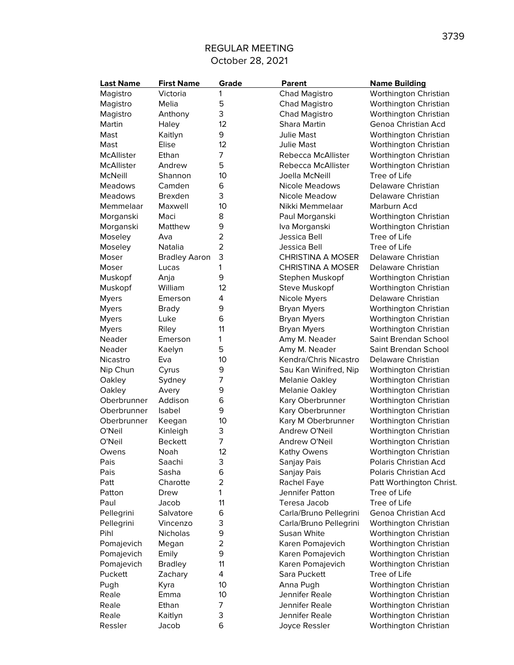| <b>Last Name</b> | <b>First Name</b>    | Grade          | <b>Parent</b>            | <b>Name Building</b>     |
|------------------|----------------------|----------------|--------------------------|--------------------------|
| Magistro         | Victoria             | 1              | <b>Chad Magistro</b>     | Worthington Christian    |
| Magistro         | Melia                | 5              | Chad Magistro            | Worthington Christian    |
| Magistro         | Anthony              | 3              | Chad Magistro            | Worthington Christian    |
| Martin           | Haley                | 12             | Shara Martin             | Genoa Christian Acd      |
| Mast             | Kaitlyn              | 9              | <b>Julie Mast</b>        | Worthington Christian    |
| Mast             | Elise                | 12             | <b>Julie Mast</b>        | Worthington Christian    |
| McAllister       | Ethan                | 7              | Rebecca McAllister       | Worthington Christian    |
| McAllister       | Andrew               | 5              | Rebecca McAllister       | Worthington Christian    |
| McNeill          | Shannon              | 10             | Joella McNeill           | Tree of Life             |
| <b>Meadows</b>   | Camden               | 6              | <b>Nicole Meadows</b>    | Delaware Christian       |
| <b>Meadows</b>   | <b>Brexden</b>       | 3              | Nicole Meadow            | Delaware Christian       |
| Memmelaar        | Maxwell              | 10             | Nikki Memmelaar          | Marburn Acd              |
| Morganski        | Maci                 | 8              | Paul Morganski           | Worthington Christian    |
| Morganski        | Matthew              | 9              | Iva Morganski            | Worthington Christian    |
| Moseley          | Ava                  | $\overline{a}$ | Jessica Bell             | Tree of Life             |
| Moseley          | Natalia              | 2              | Jessica Bell             | Tree of Life             |
| Moser            | <b>Bradley Aaron</b> | 3              | <b>CHRISTINA A MOSER</b> | Delaware Christian       |
| Moser            | Lucas                | 1              | <b>CHRISTINA A MOSER</b> | Delaware Christian       |
| Muskopf          | Anja                 | 9              | Stephen Muskopf          | Worthington Christian    |
| Muskopf          | William              | 12             | <b>Steve Muskopf</b>     | Worthington Christian    |
| <b>Myers</b>     | Emerson              | 4              | Nicole Myers             | Delaware Christian       |
| <b>Myers</b>     | <b>Brady</b>         | 9              | <b>Bryan Myers</b>       | Worthington Christian    |
| <b>Myers</b>     | Luke                 | 6              | <b>Bryan Myers</b>       | Worthington Christian    |
| <b>Myers</b>     | Riley                | 11             | <b>Bryan Myers</b>       | Worthington Christian    |
| Neader           | Emerson              | 1              | Amy M. Neader            | Saint Brendan School     |
| Neader           | Kaelyn               | 5              | Amy M. Neader            | Saint Brendan School     |
| Nicastro         | Eva                  | 10             | Kendra/Chris Nicastro    | Delaware Christian       |
| Nip Chun         |                      | 9              |                          |                          |
|                  | Cyrus                | 7              | Sau Kan Winifred, Nip    | Worthington Christian    |
| Oakley           | Sydney               | 9              | <b>Melanie Oakley</b>    | Worthington Christian    |
| Oakley           | Avery                |                | <b>Melanie Oakley</b>    | Worthington Christian    |
| Oberbrunner      | Addison              | 6              | Kary Oberbrunner         | Worthington Christian    |
| Oberbrunner      | Isabel               | 9              | Kary Oberbrunner         | Worthington Christian    |
| Oberbrunner      | Keegan               | 10             | Kary M Oberbrunner       | Worthington Christian    |
| O'Neil           | Kinleigh             | 3<br>7         | Andrew O'Neil            | Worthington Christian    |
| O'Neil           | <b>Beckett</b>       |                | Andrew O'Neil            | Worthington Christian    |
| Owens            | Noah                 | 12             | Kathy Owens              | Worthington Christian    |
| Pais             | Saachi               | 3              | Sanjay Pais              | Polaris Christian Acd    |
| Pais             | Sasha                | 6              | Sanjay Pais              | Polaris Christian Acd    |
| Patt             | Charotte             | $\overline{2}$ | Rachel Faye              | Patt Worthington Christ. |
| Patton           | Drew                 | 1              | Jennifer Patton          | Tree of Life             |
| Paul             | Jacob                | 11             | Teresa Jacob             | Tree of Life             |
| Pellegrini       | Salvatore            | 6              | Carla/Bruno Pellegrini   | Genoa Christian Acd      |
| Pellegrini       | Vincenzo             | 3              | Carla/Bruno Pellegrini   | Worthington Christian    |
| Pihl             | Nicholas             | 9              | Susan White              | Worthington Christian    |
| Pomajevich       | Megan                | 2              | Karen Pomajevich         | Worthington Christian    |
| Pomajevich       | Emily                | 9              | Karen Pomajevich         | Worthington Christian    |
| Pomajevich       | <b>Bradley</b>       | 11             | Karen Pomajevich         | Worthington Christian    |
| Puckett          | Zachary              | 4              | Sara Puckett             | Tree of Life             |
| Pugh             | Kyra                 | 10             | Anna Pugh                | Worthington Christian    |
| Reale            | Emma                 | 10             | Jennifer Reale           | Worthington Christian    |
| Reale            | Ethan                | 7              | Jennifer Reale           | Worthington Christian    |
| Reale            | Kaitlyn              | 3              | Jennifer Reale           | Worthington Christian    |
| Ressler          | Jacob                | 6              | Joyce Ressler            | Worthington Christian    |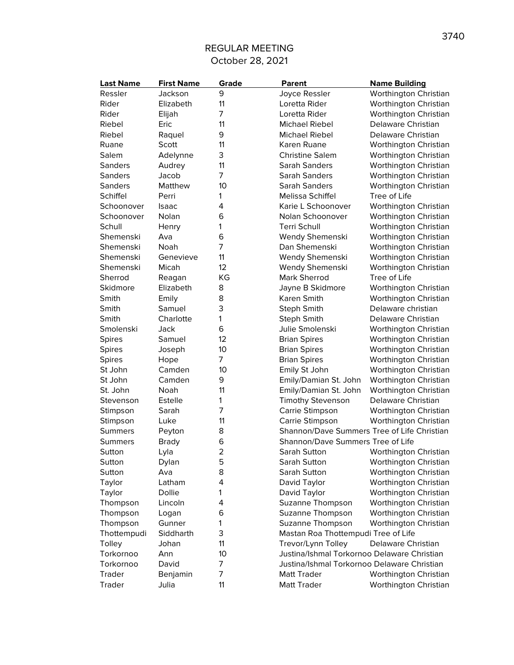| <b>Last Name</b> | <b>First Name</b> | Grade          | <b>Parent</b>                               | <b>Name Building</b>  |
|------------------|-------------------|----------------|---------------------------------------------|-----------------------|
| Ressler          | Jackson           | 9              | Joyce Ressler                               | Worthington Christian |
| Rider            | Elizabeth         | 11             | Loretta Rider                               | Worthington Christian |
| Rider            | Elijah            | 7              | Loretta Rider                               | Worthington Christian |
| Riebel           | Eric              | 11             | <b>Michael Riebel</b>                       | Delaware Christian    |
| Riebel           | Raquel            | 9              | <b>Michael Riebel</b>                       | Delaware Christian    |
| Ruane            | Scott             | 11             | Karen Ruane                                 | Worthington Christian |
| Salem            | Adelynne          | 3              | <b>Christine Salem</b>                      | Worthington Christian |
| Sanders          | Audrey            | 11             | Sarah Sanders                               | Worthington Christian |
| <b>Sanders</b>   | Jacob             | $\overline{7}$ | Sarah Sanders                               | Worthington Christian |
| <b>Sanders</b>   | Matthew           | 10             | Sarah Sanders                               | Worthington Christian |
| Schiffel         | Perri             | 1              | <b>Melissa Schiffel</b>                     | Tree of Life          |
| Schoonover       | Isaac             | 4              | Karie L Schoonover                          | Worthington Christian |
| Schoonover       | Nolan             | 6              | Nolan Schoonover                            | Worthington Christian |
| Schull           | Henry             | 1              | <b>Terri Schull</b>                         | Worthington Christian |
| Shemenski        | Ava               | 6              | Wendy Shemenski                             | Worthington Christian |
| Shemenski        | Noah              | 7              | Dan Shemenski                               | Worthington Christian |
| Shemenski        | Genevieve         | 11             | Wendy Shemenski                             | Worthington Christian |
| Shemenski        | Micah             | 12             | Wendy Shemenski                             | Worthington Christian |
| Sherrod          | Reagan            | KG             | <b>Mark Sherrod</b>                         | Tree of Life          |
| Skidmore         | Elizabeth         | 8              | Jayne B Skidmore                            | Worthington Christian |
| Smith            | Emily             | 8              | Karen Smith                                 | Worthington Christian |
| Smith            | Samuel            | 3              | Steph Smith                                 | Delaware christian    |
| Smith            | Charlotte         | 1              | <b>Steph Smith</b>                          | Delaware Christian    |
| Smolenski        | Jack              | 6              | Julie Smolenski                             | Worthington Christian |
| Spires           | Samuel            | 12             | <b>Brian Spires</b>                         | Worthington Christian |
| <b>Spires</b>    | Joseph            | 10             | <b>Brian Spires</b>                         | Worthington Christian |
| <b>Spires</b>    | Hope              | 7              | <b>Brian Spires</b>                         | Worthington Christian |
| St John          | Camden            | 10             | Emily St John                               | Worthington Christian |
| St John          | Camden            | 9              | Emily/Damian St. John                       | Worthington Christian |
| St. John         | Noah              | 11             | Emily/Damian St. John                       | Worthington Christian |
| Stevenson        | Estelle           | 1              | <b>Timothy Stevenson</b>                    | Delaware Christian    |
| Stimpson         | Sarah             | $\overline{7}$ | Carrie Stimpson                             | Worthington Christian |
| Stimpson         | Luke              | 11             | Carrie Stimpson                             | Worthington Christian |
| <b>Summers</b>   | Peyton            | 8              | Shannon/Dave Summers Tree of Life Christian |                       |
| <b>Summers</b>   | <b>Brady</b>      | 6              | Shannon/Dave Summers Tree of Life           |                       |
| Sutton           | Lyla              | $\overline{2}$ | Sarah Sutton                                | Worthington Christian |
| Sutton           | Dylan             | 5              | Sarah Sutton                                | Worthington Christian |
| Sutton           | Ava               | 8              | Sarah Sutton                                | Worthington Christian |
| Taylor           | Latham            | 4              | David Taylor                                | Worthington Christian |
| Taylor           | Dollie            | 1              | David Taylor                                | Worthington Christian |
| Thompson         | Lincoln           | 4              | Suzanne Thompson                            | Worthington Christian |
| Thompson         | Logan             | 6              | Suzanne Thompson                            | Worthington Christian |
| Thompson         | Gunner            | 1              | Suzanne Thompson                            | Worthington Christian |
| Thottempudi      | Siddharth         | 3              | Mastan Roa Thottempudi Tree of Life         |                       |
| Tolley           | Johan             | 11             | Trevor/Lynn Tolley                          | Delaware Christian    |
| Torkornoo        | Ann               | 10             | Justina/Ishmal Torkornoo Delaware Christian |                       |
| Torkornoo        | David             | 7              | Justina/Ishmal Torkornoo Delaware Christian |                       |
| Trader           | Benjamin          | 7              | <b>Matt Trader</b>                          | Worthington Christian |
| Trader           | Julia             | 11             | Matt Trader                                 | Worthington Christian |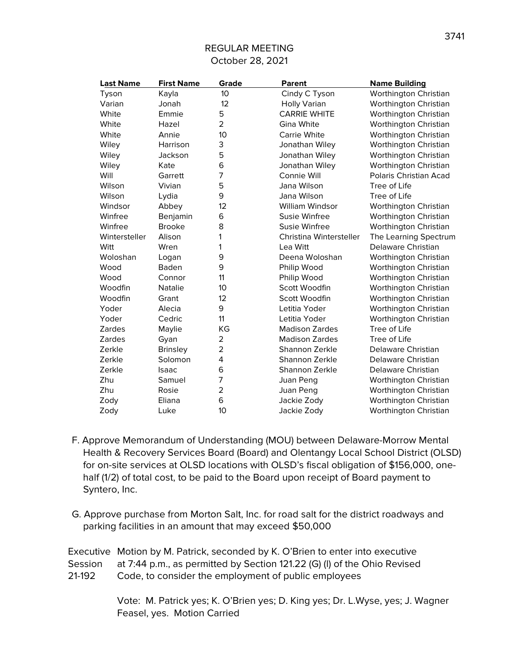| <b>Last Name</b> | <b>First Name</b> | Grade          | Parent                  | <b>Name Building</b>   |
|------------------|-------------------|----------------|-------------------------|------------------------|
| Tyson            | Kayla             | 10             | Cindy C Tyson           | Worthington Christian  |
| Varian           | Jonah             | 12             | <b>Holly Varian</b>     | Worthington Christian  |
| White            | Emmie             | 5              | <b>CARRIE WHITE</b>     | Worthington Christian  |
| White            | Hazel             | $\overline{2}$ | Gina White              | Worthington Christian  |
| White            | Annie             | 10             | <b>Carrie White</b>     | Worthington Christian  |
| Wiley            | Harrison          | 3              | Jonathan Wiley          | Worthington Christian  |
| Wiley            | Jackson           | 5              | Jonathan Wiley          | Worthington Christian  |
| Wiley            | Kate              | 6              | Jonathan Wiley          | Worthington Christian  |
| Will             | Garrett           | 7              | Connie Will             | Polaris Christian Acad |
| Wilson           | Vivian            | 5              | Jana Wilson             | Tree of Life           |
| Wilson           | Lydia             | 9              | Jana Wilson             | Tree of Life           |
| Windsor          | Abbey             | 12             | William Windsor         | Worthington Christian  |
| Winfree          | Benjamin          | 6              | Susie Winfree           | Worthington Christian  |
| Winfree          | <b>Brooke</b>     | 8              | Susie Winfree           | Worthington Christian  |
| Wintersteller    | Alison            | 1              | Christina Wintersteller | The Learning Spectrum  |
| Witt             | Wren              | 1              | Lea Witt                | Delaware Christian     |
| Woloshan         | Logan             | 9              | Deena Woloshan          | Worthington Christian  |
| Wood             | Baden             | 9              | Philip Wood             | Worthington Christian  |
| Wood             | Connor            | 11             | Philip Wood             | Worthington Christian  |
| Woodfin          | <b>Natalie</b>    | 10             | Scott Woodfin           | Worthington Christian  |
| Woodfin          | Grant             | 12             | Scott Woodfin           | Worthington Christian  |
| Yoder            | Alecia            | 9              | Letitia Yoder           | Worthington Christian  |
| Yoder            | Cedric            | 11             | Letitia Yoder           | Worthington Christian  |
| <b>Zardes</b>    | Maylie            | KG             | <b>Madison Zardes</b>   | Tree of Life           |
| Zardes           | Gyan              | $\overline{2}$ | <b>Madison Zardes</b>   | Tree of Life           |
| Zerkle           | <b>Brinsley</b>   | $\overline{2}$ | Shannon Zerkle          | Delaware Christian     |
| Zerkle           | Solomon           | 4              | Shannon Zerkle          | Delaware Christian     |
| Zerkle           | Isaac             | 6              | Shannon Zerkle          | Delaware Christian     |
| Zhu              | Samuel            | 7              | Juan Peng               | Worthington Christian  |
| Zhu              | Rosie             | $\overline{2}$ | Juan Peng               | Worthington Christian  |
| Zody             | Eliana            | 6              | Jackie Zody             | Worthington Christian  |
| Zody             | Luke              | 10             | Jackie Zody             | Worthington Christian  |

- F. Approve Memorandum of Understanding (MOU) between Delaware-Morrow Mental Health & Recovery Services Board (Board) and Olentangy Local School District (OLSD) for on-site services at OLSD locations with OLSD's fiscal obligation of \$156,000, onehalf (1/2) of total cost, to be paid to the Board upon receipt of Board payment to Syntero, Inc.
- G. Approve purchase from Morton Salt, Inc. for road salt for the district roadways and parking facilities in an amount that may exceed \$50,000

Executive Motion by M. Patrick, seconded by K. O'Brien to enter into executive Session at 7:44 p.m., as permitted by Section 121.22 (G) (l) of the Ohio Revised 21-192 Code, to consider the employment of public employees

> Vote: M. Patrick yes; K. O'Brien yes; D. King yes; Dr. L.Wyse, yes; J. Wagner Feasel, yes. Motion Carried